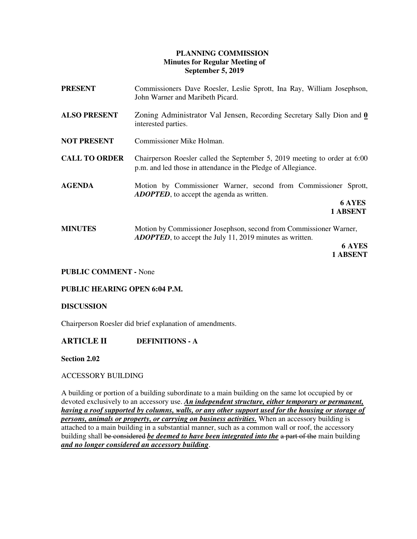### **PLANNING COMMISSION Minutes for Regular Meeting of September 5, 2019**

| <b>PRESENT</b>       | Commissioners Dave Roesler, Leslie Sprott, Ina Ray, William Josephson,<br>John Warner and Maribeth Picard.                                              |
|----------------------|---------------------------------------------------------------------------------------------------------------------------------------------------------|
| <b>ALSO PRESENT</b>  | Zoning Administrator Val Jensen, Recording Secretary Sally Dion and 0<br>interested parties.                                                            |
| <b>NOT PRESENT</b>   | Commissioner Mike Holman.                                                                                                                               |
| <b>CALL TO ORDER</b> | Chairperson Roesler called the September 5, 2019 meeting to order at 6:00<br>p.m. and led those in attendance in the Pledge of Allegiance.              |
| <b>AGENDA</b>        | Motion by Commissioner Warner, second from Commissioner Sprott,<br><b>ADOPTED</b> , to accept the agenda as written.<br><b>6 AYES</b><br>1 ABSENT       |
| <b>MINUTES</b>       | Motion by Commissioner Josephson, second from Commissioner Warner,<br><b>ADOPTED</b> , to accept the July 11, 2019 minutes as written.<br><b>6 AYES</b> |

**1 ABSENT** 

### **PUBLIC COMMENT -** None

### **PUBLIC HEARING OPEN 6:04 P.M.**

#### **DISCUSSION**

Chairperson Roesler did brief explanation of amendments.

### **ARTICLE II DEFINITIONS - A**

 **Section 2.02** 

### ACCESSORY BUILDING

A building or portion of a building subordinate to a main building on the same lot occupied by or devoted exclusively to an accessory use. *An independent structure, either temporary or permanent, having a roof supported by columns, walls, or any other support used for the housing or storage of persons, animals or property, or carrying on business activities.* When an accessory building is attached to a main building in a substantial manner, such as a common wall or roof, the accessory building shall be considered *be deemed to have been integrated into the* a part of the main building *and no longer considered an accessory building*.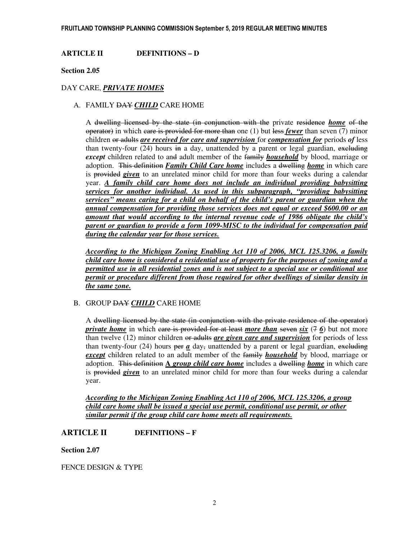**ARTICLE II DEFINITIONS – D** 

 **Section 2.05** 

### DAY CARE, *PRIVATE HOMES*

### A. FAMILY DAY *CHILD* CARE HOME

A dwelling licensed by the state (in conjunction with the private residence *home* of the operator) in which care is provided for more than one (1) but less *fewer* than seven (7) minor children or adults *are received for care and supervision* for *compensation for* periods *of* less than twenty-four  $(24)$  hours in a day, unattended by a parent or legal guardian, excluding *except* children related to and adult member of the family *household* by blood, marriage or adoption. This definition *Family Child Care home* includes a dwelling *home* in which care is provided *given* to an unrelated minor child for more than four weeks during a calendar year. *A family child care home does not include an individual providing babysitting services for another individual. As used in this subparagraph, "providing babysitting services" means caring for a child on behalf of the child's parent or guardian when the annual compensation for providing those services does not equal or exceed \$600.00 or an amount that would according to the internal revenue code of 1986 obligate the child's parent or guardian to provide a form 1099-MISC to the individual for compensation paid during the calendar year for those services.* 

*According to the Michigan Zoning Enabling Act 110 of 2006, MCL 125.3206, a family child care home is considered a residential use of property for the purposes of zoning and a permitted use in all residential zones and is not subject to a special use or conditional use permit or procedure different from those required for other dwellings of similar density in the same zone.* 

### B. GROUP DAY *CHILD* CARE HOME

A dwelling licensed by the state (in conjunction with the private residence of the operator) *private home* in which care is provided for at least *more than* seven *six*  $(7, 6)$  but not more than twelve (12) minor children or adults *are given care and supervision* for periods of less than twenty-four (24) hours per  $\alpha$  day, unattended by a parent or legal guardian, excluding *except* children related to an adult member of the family *household* by blood, marriage or adoption. This definition **A** *group child care home* includes a dwelling *home* in which care is provided *given* to an unrelated minor child for more than four weeks during a calendar year.

*According to the Michigan Zoning Enabling Act 110 of 2006, MCL 125.3206, a group child care home shall be issued a special use permit, conditional use permit, or other similar permit if the group child care home meets all requirements.* 

# **ARTICLE II DEFINITIONS – F**

### **Section 2.07**

FENCE DESIGN & TYPE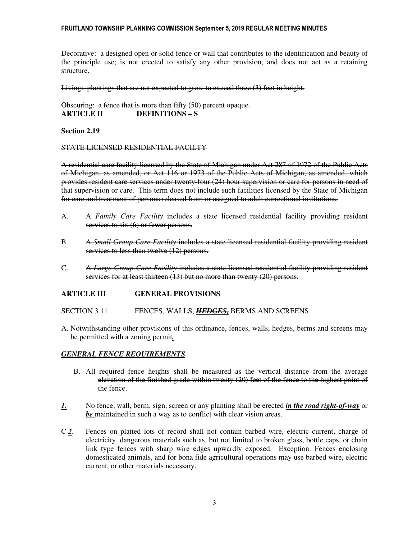#### FRUITLAND TOWNSHIP PLANNING COMMISSION September 5, 2019 REGULAR MEETING MINUTES

Decorative: a designed open or solid fence or wall that contributes to the identification and beauty of the principle use; is not erected to satisfy any other provision, and does not act as a retaining structure.

Living: plantings that are not expected to grow to exceed three (3) feet in height.

Obscuring: a fence that is more than fifty (50) percent opaque. **ARTICLE II DEFINITIONS – S** 

#### **Section 2.19**

#### STATE LICENSED RESIDENTIAL FACILTY

A residential care facility licensed by the State of Michigan under Act 287 of 1972 of the Public Acts of Michigan, as amended, or Act 116 or 1973 of the Public Acts of Michigan, as amended, which provides resident care services under twenty-four (24) hour supervision or care for persons in need of that supervision or care. This term does not include such facilities licensed by the State of Michigan for care and treatment of persons released from or assigned to adult correctional institutions.

- A. A *Family Care Facility* includes a state licensed residential facility providing resident services to six (6) or fewer persons.
- B. A *Small Group Care Facility* includes a state licensed residential facility providing resident services to less than twelve (12) persons.
- C. A *Large Group Care Facility* includes a state licensed residential facility providing resident services for at least thirteen (13) but no more than twenty (20) persons.

### **ARTICLE III GENERAL PROVISIONS**

SECTION 3.11 FENCES, WALLS, *HEDGES,* BERMS AND SCREENS

A. Notwithstanding other provisions of this ordinance, fences, walls, hedges, berms and screens may be permitted with a zoning permit*.*

### *GENERAL FENCE REQUIREMENTS*

- B. All required fence heights shall be measured as the vertical distance from the average elevation of the finished grade within twenty (20) feet of the fence to the highest point of the fence.
- *1.* No fence, wall, berm, sign, screen or any planting shall be erected *in the road right-of-way* or *be* maintained in such a way as to conflict with clear vision areas.
- C *2*. Fences on platted lots of record shall not contain barbed wire, electric current, charge of electricity, dangerous materials such as, but not limited to broken glass, bottle caps, or chain link type fences with sharp wire edges upwardly exposed. Exception: Fences enclosing domesticated animals, and for bona fide agricultural operations may use barbed wire, electric current, or other materials necessary.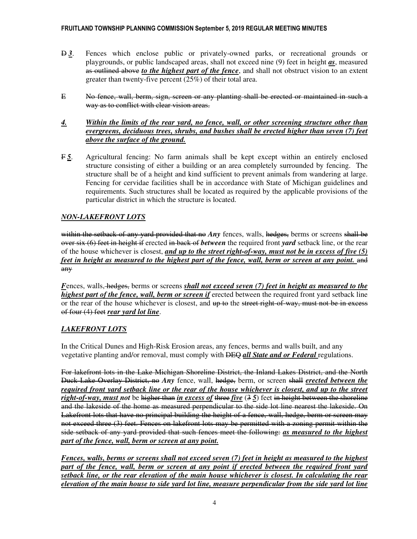- D *3*. Fences which enclose public or privately-owned parks, or recreational grounds or playgrounds, or public landscaped areas, shall not exceed nine (9) feet in height *as*, measured as outlined above *to the highest part of the fence*, and shall not obstruct vision to an extent greater than twenty-five percent (25%) of their total area.
- E No fence, wall, berm, sign, screen or any planting shall be erected or maintained in such a way as to conflict with clear vision areas.
- *4. Within the limits of the rear yard, no fence, wall, or other screening structure other than evergreens, deciduous trees, shrubs, and bushes shall be erected higher than seven (7) feet above the surface of the ground.*
- F *5*. Agricultural fencing: No farm animals shall be kept except within an entirely enclosed structure consisting of either a building or an area completely surrounded by fencing. The structure shall be of a height and kind sufficient to prevent animals from wandering at large. Fencing for cervidae facilities shall be in accordance with State of Michigan guidelines and requirements. Such structures shall be located as required by the applicable provisions of the particular district in which the structure is located.

# *NON-LAKEFRONT LOTS*

within the setback of any yard provided that no *Any* fences, walls, hedges, berms or screens shall be over six (6) feet in height if erected in back of *between* the required front *yard* setback line, or the rear of the house whichever is closest, *and up to the street right-of-way, must not be in excess of five (5) feet in height as measured to the highest part of the fence, wall, berm or screen at any point.* and any

*Fences, walls, hedges, berms or screens shall not exceed seven (7) feet in height as measured to the highest part of the fence, wall, berm or screen if erected between the required front yard setback line* or the rear of the house whichever is closest, and up to the street right-of-way, must not be in excess of four (4) feet *rear yard lot line*.

# *LAKEFRONT LOTS*

In the Critical Dunes and High-Risk Erosion areas, any fences, berms and walls built, and any vegetative planting and/or removal, must comply with DEQ *all State and or Federal* regulations.

For lakefront lots in the Lake Michigan Shoreline District, the Inland Lakes District, and the North Duck Lake Overlay District, no *Any* fence, wall, hedge, berm, or screen shall *erected between the required front yard setback line or the rear of the house whichever is closest, and up to the street right-of-way, must not* be higher than *in excess of* three *five* (3 *5*) feet in height between the shoreline and the lakeside of the home as measured perpendicular to the side lot line nearest the lakeside. On Lakefront lots that have no principal building the height of a fence, wall, hedge, berm or screen may not exceed three (3) feet. Fences on lakefront lots may be permitted with a zoning permit within the side setback of any yard provided that such fences meet the following: *as measured to the highest part of the fence, wall, berm or screen at any point.* 

*Fences, walls, berms or screens shall not exceed seven (7) feet in height as measured to the highest part of the fence, wall, berm or screen at any point if erected between the required front yard setback line, or the rear elevation of the main house whichever is closest. In calculating the rear elevation of the main house to side yard lot line, measure perpendicular from the side yard lot line*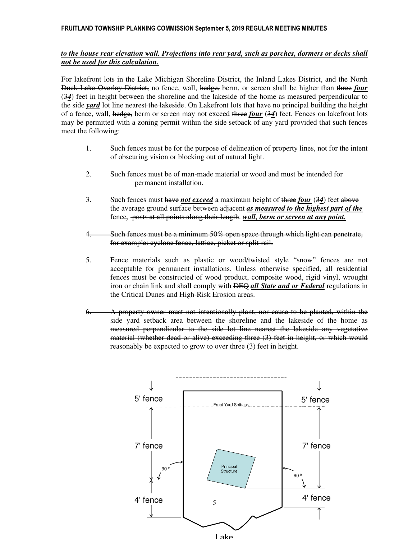### *to the house rear elevation wall. Projections into rear yard, such as porches, dormers or decks shall not be used for this calculation.*

For lakefront lots in the Lake Michigan Shoreline District, the Inland Lakes District, and the North Duck Lake Overlay District, no fence, wall, hedge, berm, or screen shall be higher than three *four*  (3*4*) feet in height between the shoreline and the lakeside of the home as measured perpendicular to the side *yard* lot line nearest the lakeside. On Lakefront lots that have no principal building the height of a fence, wall, hedge, berm or screen may not exceed three *four* (3*4*) feet. Fences on lakefront lots may be permitted with a zoning permit within the side setback of any yard provided that such fences meet the following:

- 1. Such fences must be for the purpose of delineation of property lines, not for the intent of obscuring vision or blocking out of natural light.
- 2. Such fences must be of man-made material or wood and must be intended for permanent installation.
- 3. Such fences must have *not exceed* a maximum height of three *four* (3*4*) feet above the average ground surface between adjacent *as measured to the highest part of the*  fence*,* posts at all points along their length. *wall, berm or screen at any point.*
- Such fences must be a minimum 50% open space through which light can penetrate, for example: cyclone fence, lattice, picket or split-rail.
- 5. Fence materials such as plastic or wood/twisted style "snow" fences are not acceptable for permanent installations. Unless otherwise specified, all residential fences must be constructed of wood product, composite wood, rigid vinyl, wrought iron or chain link and shall comply with DEQ *all State and or Federal* regulations in the Critical Dunes and High-Risk Erosion areas.
- 6. A property owner must not intentionally plant, nor cause to be planted, within the side yard setback area between the shoreline and the lakeside of the home as measured perpendicular to the side lot line nearest the lakeside any vegetative material (whether dead or alive) exceeding three (3) feet in height, or which would reasonably be expected to grow to over three (3) feet in height.

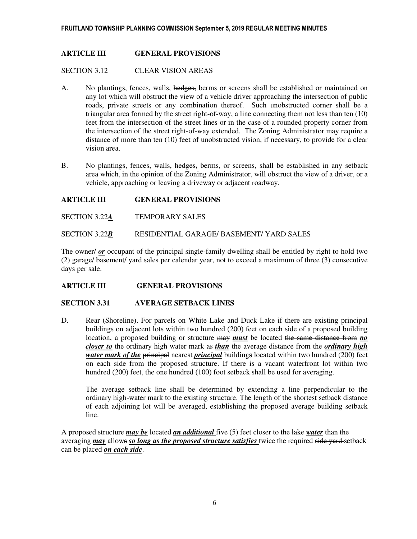### **ARTICLE III GENERAL PROVISIONS**

SECTION 3.12 CLEAR VISION AREAS

- A. No plantings, fences, walls, hedges, berms or screens shall be established or maintained on any lot which will obstruct the view of a vehicle driver approaching the intersection of public roads, private streets or any combination thereof. Such unobstructed corner shall be a triangular area formed by the street right-of-way, a line connecting them not less than ten (10) feet from the intersection of the street lines or in the case of a rounded property corner from the intersection of the street right-of-way extended. The Zoning Administrator may require a distance of more than ten (10) feet of unobstructed vision, if necessary, to provide for a clear vision area.
- B. No plantings, fences, walls, hedges, berms, or screens, shall be established in any setback area which, in the opinion of the Zoning Administrator, will obstruct the view of a driver, or a vehicle, approaching or leaving a driveway or adjacent roadway.

### **ARTICLE III GENERAL PROVISIONS**

SECTION 3.22*A* TEMPORARY SALES

SECTION 3.22*B* RESIDENTIAL GARAGE/ BASEMENT/ YARD SALES

The owner  $\ell$  or occupant of the principal single-family dwelling shall be entitled by right to hold two (2) garage/ basement/ yard sales per calendar year, not to exceed a maximum of three (3) consecutive days per sale.

### **ARTICLE III GENERAL PROVISIONS**

### **SECTION 3.31 AVERAGE SETBACK LINES**

D. Rear (Shoreline). For parcels on White Lake and Duck Lake if there are existing principal buildings on adjacent lots within two hundred (200) feet on each side of a proposed building location, a proposed building or structure may *must* be located the same distance from *no closer to* the ordinary high water mark as *than* the average distance from the *ordinary high water mark of the principal nearest <i>principal* buildings located within two hundred (200) feet on each side from the proposed structure. If there is a vacant waterfront lot within two hundred (200) feet, the one hundred (100) foot setback shall be used for averaging.

The average setback line shall be determined by extending a line perpendicular to the ordinary high-water mark to the existing structure. The length of the shortest setback distance of each adjoining lot will be averaged, establishing the proposed average building setback line.

A proposed structure *may be* located *an additional* five (5) feet closer to the lake *water* than the averaging *may* allows *so long as the proposed structure satisfies* twice the required side yard setback can be placed *on each side*.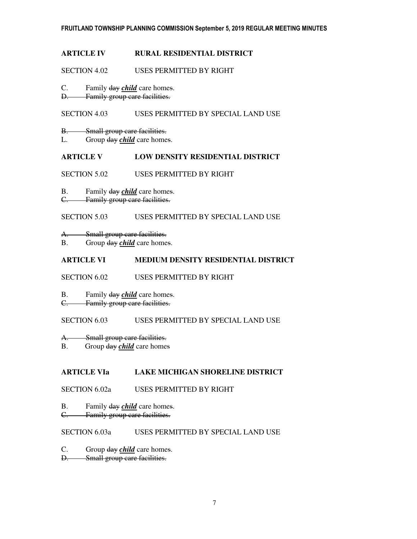### **ARTICLE IV RURAL RESIDENTIAL DISTRICT**

#### SECTION 4.02 USES PERMITTED BY RIGHT

C. Family day *child* care homes.

D. Family group care facilities.

### SECTION 4.03 USES PERMITTED BY SPECIAL LAND USE

- B. Small group care facilities.
- L. Group day *child* care homes.

### **ARTICLE V LOW DENSITY RESIDENTIAL DISTRICT**

- SECTION 5.02 USES PERMITTED BY RIGHT
- B. Family day *child* care homes.
- C. Family group care facilities.

### SECTION 5.03 USES PERMITTED BY SPECIAL LAND USE

- A. Small group care facilities.
- B. Group day *child* care homes.

# **ARTICLE VI MEDIUM DENSITY RESIDENTIAL DISTRICT**

SECTION 6.02 USES PERMITTED BY RIGHT

- B. Family day *child* care homes.
- C. Family group care facilities.

### SECTION 6.03 USES PERMITTED BY SPECIAL LAND USE

- A. Small group care facilities.
- B. Group day *child* care homes

# **ARTICLE VIa LAKE MICHIGAN SHORELINE DISTRICT**

### SECTION 6.02a USES PERMITTED BY RIGHT

- B. Family day *child* care homes.
- C. Family group care facilities.

### SECTION 6.03a USES PERMITTED BY SPECIAL LAND USE

- C. Group day *child* care homes.
- D. Small group care facilities.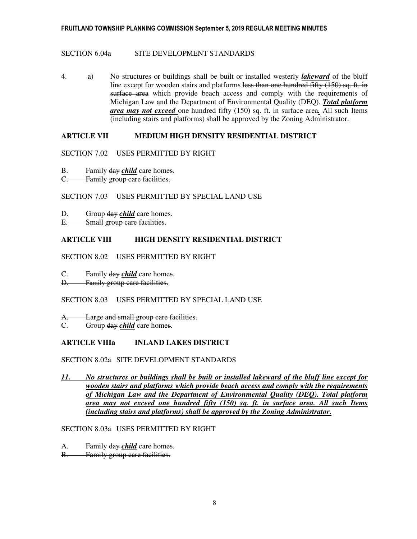### SECTION 6.04a SITE DEVELOPMENT STANDARDS

4. a) No structures or buildings shall be built or installed westerly *lakeward* of the bluff line except for wooden stairs and platforms less than one hundred fifty (150) sq. ft. in surface area which provide beach access and comply with the requirements of Michigan Law and the Department of Environmental Quality (DEQ). *Total platform area may not exceed* one hundred fifty (150) sq. ft. in surface area*.* All such Items (including stairs and platforms) shall be approved by the Zoning Administrator.

# **ARTICLE VII MEDIUM HIGH DENSITY RESIDENTIAL DISTRICT**

### SECTION 7.02 USES PERMITTED BY RIGHT

- B. Family day *child* care homes.
- C. Family group care facilities.

### SECTION 7.03 USES PERMITTED BY SPECIAL LAND USE

- D. Group day *child* care homes.
- E. Small group care facilities.

### **ARTICLE VIII HIGH DENSITY RESIDENTIAL DISTRICT**

- SECTION 8.02 USES PERMITTED BY RIGHT
- C. Family day *child* care homes.
- D. Family group care facilities.

# SECTION 8.03 USES PERMITTED BY SPECIAL LAND USE

A. Large and small group care facilities.

C. Group day *child* care homes.

# **ARTICLE VIIIa INLAND LAKES DISTRICT**

### SECTION 8.02a SITE DEVELOPMENT STANDARDS

*11. No structures or buildings shall be built or installed lakeward of the bluff line except for wooden stairs and platforms which provide beach access and comply with the requirements of Michigan Law and the Department of Environmental Quality (DEQ). Total platform area may not exceed one hundred fifty (150) sq. ft. in surface area. All such Items (including stairs and platforms) shall be approved by the Zoning Administrator.*

### SECTION 8.03a USES PERMITTED BY RIGHT

- A. Family day *child* care homes.
- B. Family group care facilities.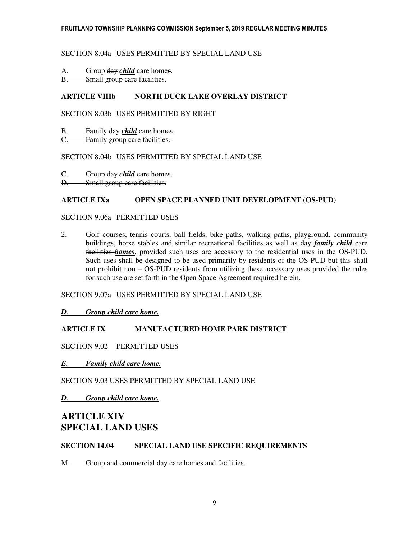### SECTION 8.04a USES PERMITTED BY SPECIAL LAND USE

A. Group day *child* care homes.

B. Small group care facilities.

# **ARTICLE VIIIb NORTH DUCK LAKE OVERLAY DISTRICT**

### SECTION 8.03b USES PERMITTED BY RIGHT

B. Family day *child* care homes.

C. Family group care facilities.

### SECTION 8.04b USES PERMITTED BY SPECIAL LAND USE

C. Group day *child* care homes. D. Small group care facilities.

### **ARTICLE IXa OPEN SPACE PLANNED UNIT DEVELOPMENT (OS-PUD)**

### SECTION 9.06a PERMITTED USES

2. Golf courses, tennis courts, ball fields, bike paths, walking paths, playground, community buildings, horse stables and similar recreational facilities as well as day *family child* care facilities *homes*, provided such uses are accessory to the residential uses in the OS-PUD. Such uses shall be designed to be used primarily by residents of the OS-PUD but this shall not prohibit non – OS-PUD residents from utilizing these accessory uses provided the rules for such use are set forth in the Open Space Agreement required herein.

SECTION 9.07a USES PERMITTED BY SPECIAL LAND USE

*D. Group child care home.* 

# **ARTICLE IX MANUFACTURED HOME PARK DISTRICT**

SECTION 9.02 PERMITTED USES

*E. Family child care home.* 

SECTION 9.03 USES PERMITTED BY SPECIAL LAND USE

*D. Group child care home.* 

# **ARTICLE XIV SPECIAL LAND USES**

# **SECTION 14.04 SPECIAL LAND USE SPECIFIC REQUIREMENTS**

M. Group and commercial day care homes and facilities.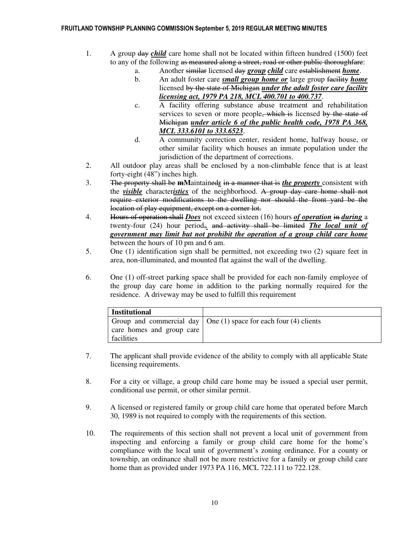#### FRUITLAND TOWNSHIP PLANNING COMMISSION September 5, 2019 REGULAR MEETING MINUTES

- 1. A group day *child* care home shall not be located within fifteen hundred (1500) feet to any of the following as measured along a street, road or other public thoroughfare:
	- a. Another similar licensed day *group child* care establishment *home*.
	- b. An adult foster care *small group home or* large group facility *home*  licensed by the state of Michigan *under the adult foster care facility licensing act, 1979 PA 218, MCL 400.701 to 400.737*.
	- c. A facility offering substance abuse treatment and rehabilitation services to seven or more people, which is licensed by the state of Michigan *under article 6 of the public health code, 1978 PA 368, MCL 333.6101 to 333.6523*.
	- d. A community correction center, resident home, halfway house, or other similar facility which houses an inmate population under the jurisdiction of the department of corrections.
- 2. All outdoor play areas shall be enclosed by a non-climbable fence that is at least forty-eight (48") inches high.
- 3. The property shall be **mM**aintained*s* in a manner that is *the property* consistent with the *visible* character*istics* of the neighborhood. A group day care home shall not require exterior modifications to the dwelling nor should the front yard be the location of play equipment, except on a corner lot.
- 4. Hours of operation shall *Does* not exceed sixteen (16) hours *of operation* in *during* a twenty-four (24) hour period,*.* and activity shall be limited *The local unit of government may limit but not prohibit the operation of a group child care home*  between the hours of 10 pm and 6 am.
- 5. One (1) identification sign shall be permitted, not exceeding two (2) square feet in area, non-illuminated, and mounted flat against the wall of the dwelling.
- 6. One (1) off-street parking space shall be provided for each non-family employee of the group day care home in addition to the parking normally required for the residence. A driveway may be used to fulfill this requirement

| <b>Institutional</b>      |                                                                          |
|---------------------------|--------------------------------------------------------------------------|
|                           | Group and commercial day $\vert$ One (1) space for each four (4) clients |
| care homes and group care |                                                                          |
| facilities                |                                                                          |

- 7. The applicant shall provide evidence of the ability to comply with all applicable State licensing requirements.
- 8. For a city or village, a group child care home may be issued a special user permit, conditional use permit, or other similar permit.
- 9. A licensed or registered family or group child care home that operated before March 30, 1989 is not required to comply with the requirements of this section.
- 10. The requirements of this section shall not prevent a local unit of government from inspecting and enforcing a family or group child care home for the home's compliance with the local unit of government's zoning ordinance. For a county or township, an ordinance shall not be more restrictive for a family or group child care home than as provided under 1973 PA 116, MCL 722.111 to 722.128.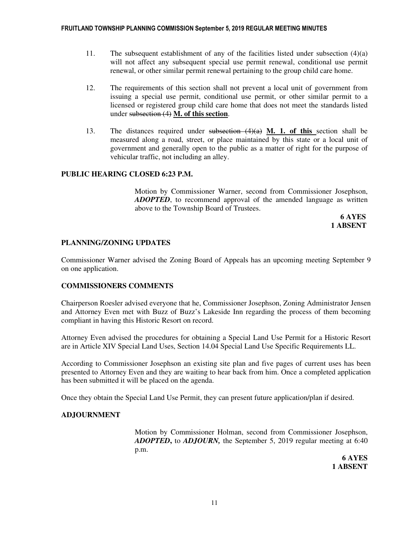- 11. The subsequent establishment of any of the facilities listed under subsection  $(4)(a)$ will not affect any subsequent special use permit renewal, conditional use permit renewal, or other similar permit renewal pertaining to the group child care home.
- 12. The requirements of this section shall not prevent a local unit of government from issuing a special use permit, conditional use permit, or other similar permit to a licensed or registered group child care home that does not meet the standards listed under subsection (4) **M. of this section**.
- 13. The distances required under subsection (4)(a) **M. 1. of this** section shall be measured along a road, street, or place maintained by this state or a local unit of government and generally open to the public as a matter of right for the purpose of vehicular traffic, not including an alley.

### **PUBLIC HEARING CLOSED 6:23 P.M.**

Motion by Commissioner Warner, second from Commissioner Josephson, *ADOPTED*, to recommend approval of the amended language as written above to the Township Board of Trustees.

 **6 AYES 1 ABSENT** 

### **PLANNING/ZONING UPDATES**

Commissioner Warner advised the Zoning Board of Appeals has an upcoming meeting September 9 on one application.

### **COMMISSIONERS COMMENTS**

Chairperson Roesler advised everyone that he, Commissioner Josephson, Zoning Administrator Jensen and Attorney Even met with Buzz of Buzz's Lakeside Inn regarding the process of them becoming compliant in having this Historic Resort on record.

 Attorney Even advised the procedures for obtaining a Special Land Use Permit for a Historic Resort are in Article XIV Special Land Uses, Section 14.04 Special Land Use Specific Requirements LL.

 According to Commissioner Josephson an existing site plan and five pages of current uses has been presented to Attorney Even and they are waiting to hear back from him. Once a completed application has been submitted it will be placed on the agenda.

Once they obtain the Special Land Use Permit, they can present future application/plan if desired.

### **ADJOURNMENT**

Motion by Commissioner Holman, second from Commissioner Josephson, *ADOPTED***,** to *ADJOURN,* the September 5, 2019 regular meeting at 6:40 p.m.

> **6 AYES 1 ABSENT**